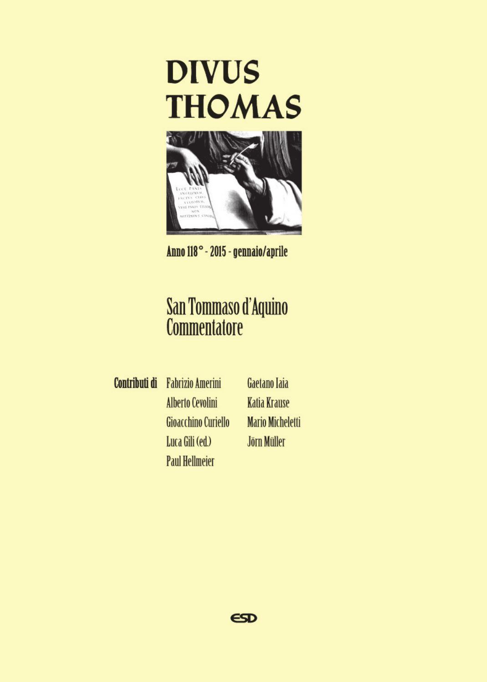

Anno 118° - 2015 - gennaio/aprile

# San Tommaso d'Aquino<br>Commentatore

**Contributi di** Fabrizio Amerini **Alberto Cevolini** Gioacchino Curiello Luca Gili (ed.) **Paul Hellmeier** 

Gaetano Taia **Katia Krause Mario Micheletti** Jörn Müller

 $\epsilon$ SD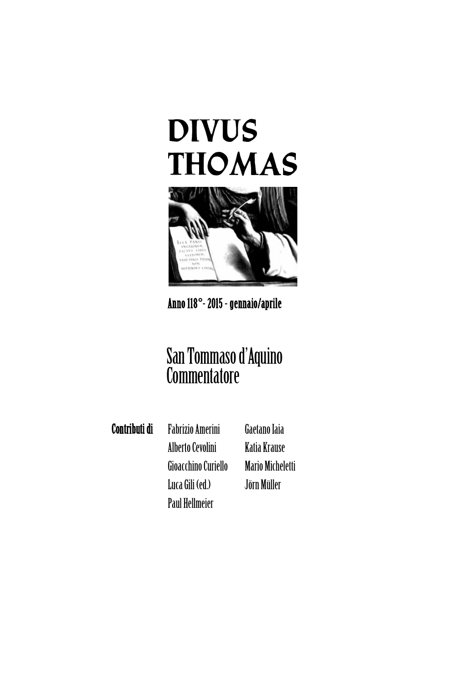## **DIVUS THOMAS**



## Anno 118**°**- 2015 - gennaio/aprile

## San Tommaso d'Aquino **Commentatore**

Contributi di Fabrizio Amerini AlbertoCevolini Gioacchino Curiello LucaGili (ed.) Paul Hellmeier

Gaetano Iaia Katia Krause Mario Micheletti Jörn Müller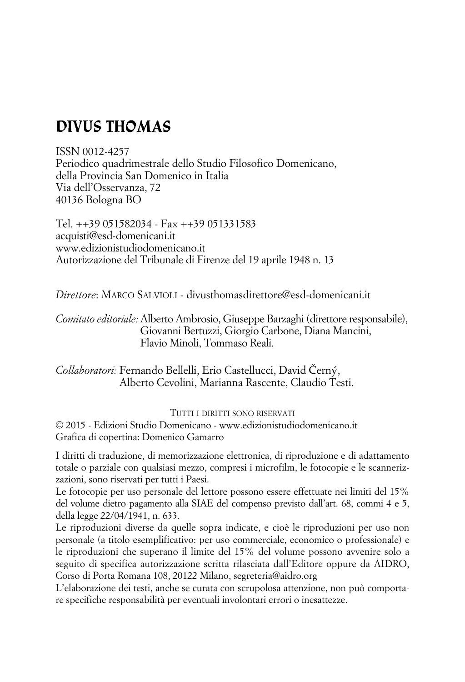## **DIVUS THOMAS**

ISSN 0012-4257 Periodico quadrimestrale dello Studio Filosofico Domenicano, della Provincia San Domenico in Italia Via dell'Osservanza, 72 40136 Bologna BO

Tel. ++39 051582034 - Fax ++39 051331583 acquisti@esd-domenicani.it www.edizionistudiodomenicano.it Autorizzazione del Tribunale di Firenze del 19 aprile 1948 n. 13

*Direttore*: MARCO SALVIOLI - divusthomasdirettore@esd-domenicani.it

*Comitato editoriale:* Alberto Ambrosio, Giuseppe Barzaghi (direttore responsabile), Giovanni Bertuzzi, Giorgio Carbone, Diana Mancini, Flavio Minoli, Tommaso Reali.

*Collaboratori:* Fernando Bellelli, Erio Castellucci, David Černý, Alberto Cevolini, Marianna Rascente, Claudio Testi.

TUTTI I DIRITTI SONO RISERVATI

© 2015 - Edizioni Studio Domenicano - www.edizionistudiodomenicano.it Grafica di copertina: Domenico Gamarro

I diritti di traduzione, di memorizzazione elettronica, di riproduzione e di adattamento totale o parziale con qualsiasi mezzo, compresi i microfilm, le fotocopie e le scannerizzazioni, sono riservati per tutti i Paesi.

Le fotocopie per uso personale del lettore possono essere effettuate nei limiti del 15% del volume dietro pagamento alla SIAE del compenso previsto dall'art. 68, commi 4 e 5, della legge 22/04/1941, n. 633.

Le riproduzioni diverse da quelle sopra indicate, e cioè le riproduzioni per uso non personale (a titolo esemplificativo: per uso commerciale, economico o professionale) e le riproduzioni che superano il limite del 15% del volume possono avvenire solo a seguito di specifica autorizzazione scritta rilasciata dall'Editore oppure da AIDRO, Corso di Porta Romana 108, 20122 Milano, segreteria@aidro.org

L'elaborazione dei testi, anche se curata con scrupolosa attenzione, non può comportare specifiche responsabilità per eventuali involontari errori o inesattezze.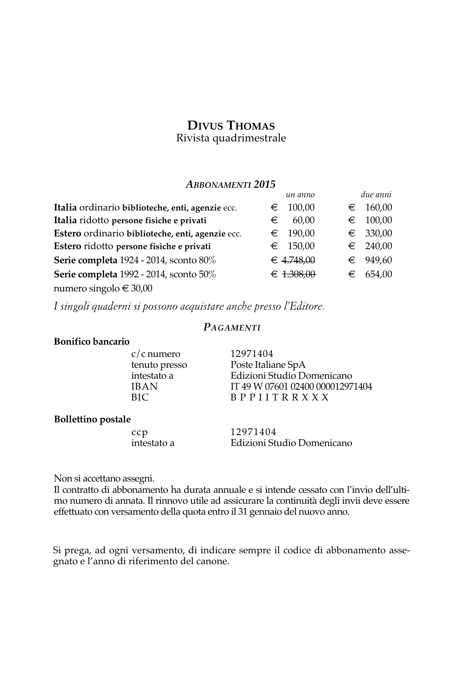## **DIVUS THOMAS**

Rivista quadrimestrale

#### *ABBONAMENTI 2015*

|                                                  | un anno              |   | due anni   |
|--------------------------------------------------|----------------------|---|------------|
| Italia ordinario biblioteche, enti, agenzie ecc. | 100,00<br>€          | € | 160,00     |
| Italia ridotto persone fisiche e privati         | 60.00<br>€           | € | 100,00     |
| Estero ordinario biblioteche, enti, agenzie ecc. | 190,00<br>$\epsilon$ |   | $∈$ 330,00 |
| Estero ridotto persone fisiche e privati         | $∈$ 150,00           |   | $∈$ 240,00 |
| Serie completa 1924 - 2014, sconto 80%           | € 4.748.00           | € | 949,60     |
| Serie completa 1992 - 2014, sconto 50%           | € $1.308,00$         | € | 654,00     |
| numero singolo € 30,00                           |                      |   |            |

*I singoli quaderni si possono acquistare anche presso l'Editore.*

#### *PAGAMENTI*

#### **Bonifico bancario**

c/c numero 12971404

tenuto presso Poste Italiane SpA<br>
intestato a Edizioni Studio Do intestato a Edizioni Studio Domenicano<br>IBAN IT 49 W 07601 02400 00001297 IBAN IT 49 W 07601 02400 000012971404<br>BIC BPPIITR X X X B P P I I T R R X X X

#### **Bollettino postale**

ccp 12971404<br>intestato a Edizioni Stu Edizioni Studio Domenicano

Non si accettano assegni.

Il contratto di abbonamento ha durata annuale e si intende cessato con l'invio dell'ultimo numero di annata. Il rinnovo utile ad assicurare la continuità degli invii deve essere effettuato con versamento della quota entro il 31 gennaio del nuovo anno.

Si prega, ad ogni versamento, di indicare sempre il codice di abbonamento assegnato e l'anno di riferimento del canone.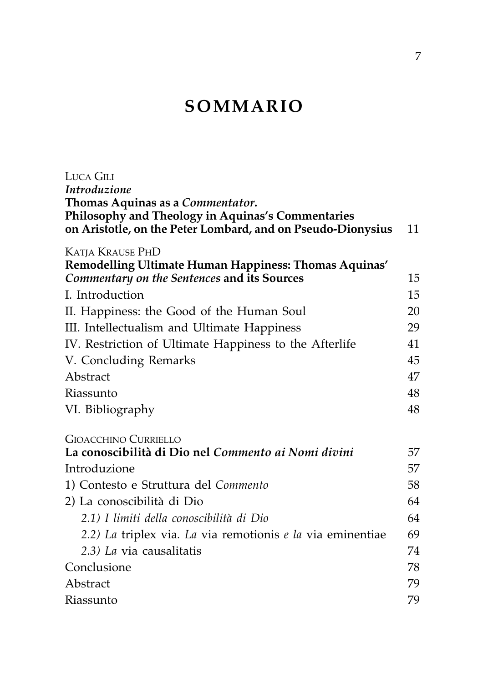## **SOMMARIO**

| LUCA GILI                                                   |    |
|-------------------------------------------------------------|----|
| Introduzione                                                |    |
| Thomas Aquinas as a Commentator.                            |    |
| Philosophy and Theology in Aquinas's Commentaries           |    |
| on Aristotle, on the Peter Lombard, and on Pseudo-Dionysius | 11 |
| <b>KATJA KRAUSE PHD</b>                                     |    |
| Remodelling Ultimate Human Happiness: Thomas Aquinas'       |    |
| Commentary on the Sentences and its Sources                 | 15 |
| I. Introduction                                             | 15 |
| II. Happiness: the Good of the Human Soul                   | 20 |
| III. Intellectualism and Ultimate Happiness                 | 29 |
| IV. Restriction of Ultimate Happiness to the Afterlife      | 41 |
| V. Concluding Remarks                                       | 45 |
| Abstract                                                    | 47 |
| Riassunto                                                   | 48 |
| VI. Bibliography                                            | 48 |
| <b>GIOACCHINO CURRIELLO</b>                                 |    |
| La conoscibilità di Dio nel Commento ai Nomi divini         | 57 |
| Introduzione                                                | 57 |
| 1) Contesto e Struttura del Commento                        | 58 |
| 2) La conoscibilità di Dio                                  | 64 |
| 2.1) I limiti della conoscibilità di Dio                    | 64 |
| 2.2) La triplex via. La via remotionis e la via eminentiae  | 69 |
| 2.3) La via causalitatis                                    | 74 |
| Conclusione                                                 | 78 |
| Abstract                                                    | 79 |
| Riassunto                                                   | 79 |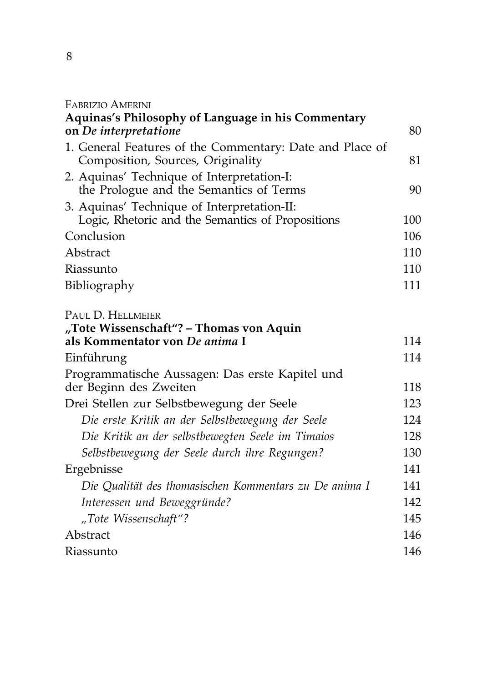#### FABRIZIO AMERINI

| <b>Aquinas's Philosophy of Language in his Commentary</b>                                     |     |
|-----------------------------------------------------------------------------------------------|-----|
| on De interpretatione                                                                         | 80  |
| 1. General Features of the Commentary: Date and Place of<br>Composition, Sources, Originality | 81  |
| 2. Aquinas' Technique of Interpretation-I:<br>the Prologue and the Semantics of Terms         | 90  |
| 3. Aquinas' Technique of Interpretation-II:                                                   |     |
| Logic, Rhetoric and the Semantics of Propositions                                             | 100 |
| Conclusion                                                                                    | 106 |
| Abstract                                                                                      | 110 |
| Riassunto                                                                                     | 110 |
| Bibliography                                                                                  | 111 |
| PAUL D. HELLMEIER<br>"Tote Wissenschaft"? – Thomas von Aquin                                  |     |
| als Kommentator von De anima I                                                                | 114 |
| Einführung                                                                                    | 114 |
| Programmatische Aussagen: Das erste Kapitel und                                               | 118 |
| der Beginn des Zweiten                                                                        |     |
| Drei Stellen zur Selbstbewegung der Seele                                                     | 123 |
| Die erste Kritik an der Selbstbewegung der Seele                                              | 124 |
| Die Kritik an der selbstbewegten Seele im Timaios                                             | 128 |
| Selbstbewegung der Seele durch ihre Regungen?                                                 | 130 |
| Ergebnisse                                                                                    | 141 |
| Die Qualität des thomasischen Kommentars zu De anima I                                        | 141 |
| Interessen und Beweggründe?                                                                   | 142 |
| "Tote Wissenschaft"?                                                                          | 145 |
| Abstract                                                                                      | 146 |
| Riassunto                                                                                     | 146 |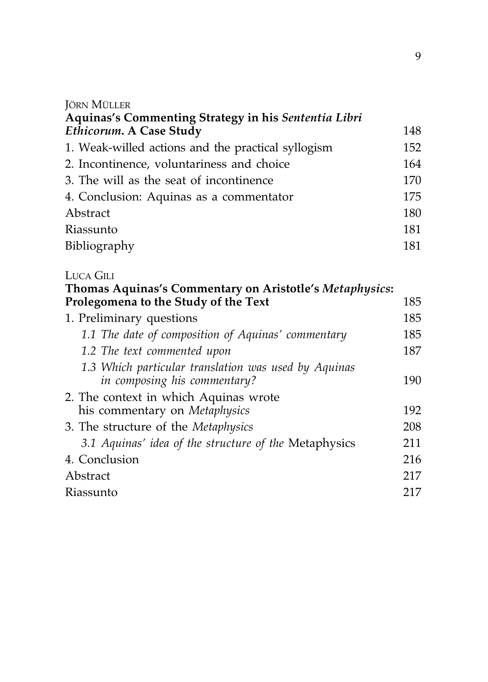#### JÖRN MÜLLER

| Aquinas's Commenting Strategy in his Sententia Libri    |     |
|---------------------------------------------------------|-----|
| Ethicorum. A Case Study                                 | 148 |
| 1. Weak-willed actions and the practical syllogism      | 152 |
| 2. Incontinence, voluntariness and choice               | 164 |
| 3. The will as the seat of incontinence                 | 170 |
| 4. Conclusion: Aquinas as a commentator                 | 175 |
| Abstract                                                | 180 |
| Riassunto                                               | 181 |
| Bibliography                                            | 181 |
| LUCA GILI                                               |     |
| Thomas Aquinas's Commentary on Aristotle's Metaphysics: |     |
| Prolegomena to the Study of the Text                    | 185 |
| 1. Preliminary questions                                | 185 |
| 1.1 The date of composition of Aquinas' commentary      | 185 |
| 1.2 The text commented upon                             | 187 |
| 1.3 Which particular translation was used by Aquinas    |     |
| in composing his commentary?                            | 190 |
| 2. The context in which Aquinas wrote                   |     |
| his commentary on <i>Metaphysics</i>                    | 192 |

3. The structure of the *Metaphysics* 208 *3.1 Aquinas' idea of the structure of the* Metaphysics 211 4. Conclusion 216 Abstract 217 Riassunto 217

9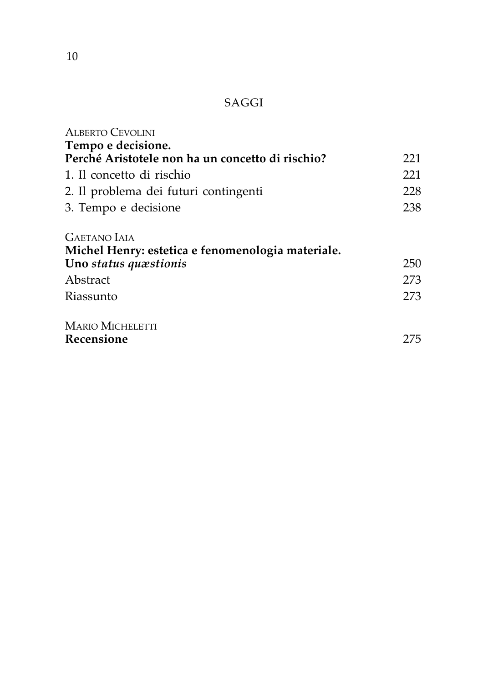### SAGGI

| <b>ALBERTO CEVOLINI</b>                           |     |
|---------------------------------------------------|-----|
| Tempo e decisione.                                |     |
| Perché Aristotele non ha un concetto di rischio?  | 221 |
| 1. Il concetto di rischio                         | 221 |
| 2. Il problema dei futuri contingenti             | 228 |
| 3. Tempo e decisione                              | 238 |
| <b>GAETANO IAIA</b>                               |     |
| Michel Henry: estetica e fenomenologia materiale. |     |
| Uno status quæstionis                             | 250 |
| Abstract                                          | 273 |
| Riassunto                                         | 273 |
| <b>MARIO MICHELETTI</b>                           |     |
| Recensione                                        | 275 |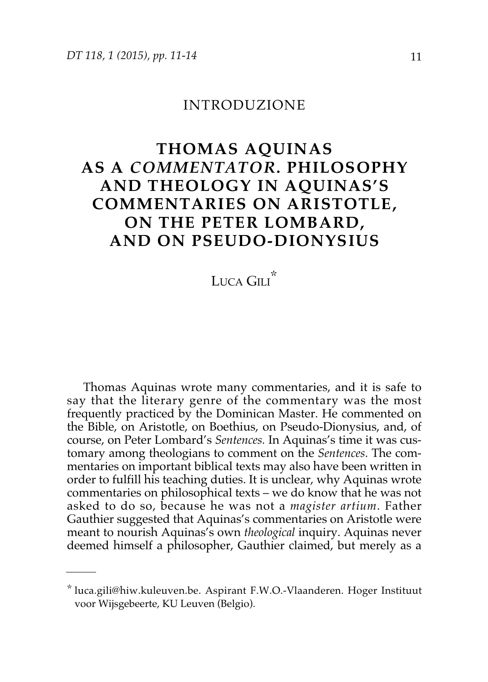#### INTRODUZIONE

## **THOMAS AQUINAS AS A** *COMMENTATOR***. PHILOSOPHY AND THEOLOGY IN AQUINAS'S COMMENTARIES ON ARISTOTLE, ON THE PETER LOMBARD, AND ON PSEUDO-DIONYSIUS**

Luca Gili<sup>\*</sup>

Thomas Aquinas wrote many commentaries, and it is safe to say that the literary genre of the commentary was the most frequently practiced by the Dominican Master. He commented on the Bible, on Aristotle, on Boethius, on Pseudo-Dionysius, and, of course, on Peter Lombard's *Sentences.* In Aquinas's time it was customary among theologians to comment on the *Sentences*. The commentaries on important biblical texts may also have been written in order to fulfill his teaching duties. It is unclear, why Aquinas wrote commentaries on philosophical texts – we do know that he was not asked to do so, because he was not a *magister artium*. Father Gauthier suggested that Aquinas's commentaries on Aristotle were meant to nourish Aquinas's own *theological* inquiry. Aquinas never deemed himself a philosopher, Gauthier claimed, but merely as a

<sup>\*</sup> luca.gili@hiw.kuleuven.be. Aspirant F.W.O.-Vlaanderen. Hoger Instituut voor Wijsgebeerte, KU Leuven (Belgio).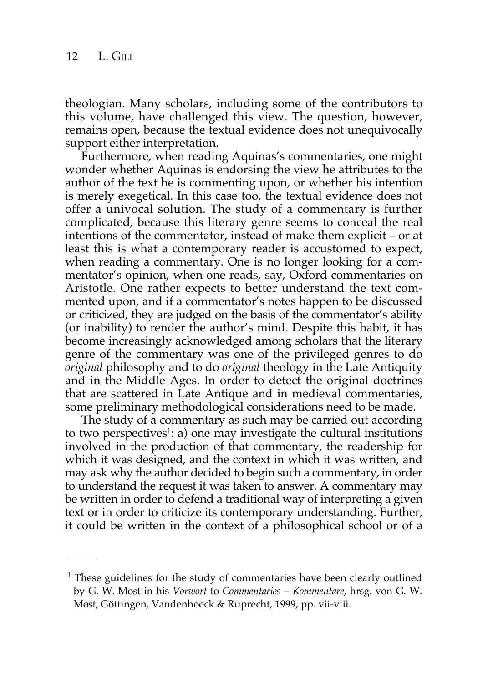theologian. Many scholars, including some of the contributors to this volume, have challenged this view. The question, however, remains open, because the textual evidence does not unequivocally support either interpretation.

Furthermore, when reading Aquinas's commentaries, one might wonder whether Aquinas is endorsing the view he attributes to the author of the text he is commenting upon, or whether his intention is merely exegetical. In this case too, the textual evidence does not offer a univocal solution. The study of a commentary is further complicated, because this literary genre seems to conceal the real intentions of the commentator, instead of make them explicit – or at least this is what a contemporary reader is accustomed to expect, when reading a commentary. One is no longer looking for a commentator's opinion, when one reads, say, Oxford commentaries on Aristotle. One rather expects to better understand the text commented upon, and if a commentator's notes happen to be discussed or criticized, they are judged on the basis of the commentator's ability (or inability) to render the author's mind. Despite this habit, it has become increasingly acknowledged among scholars that the literary genre of the commentary was one of the privileged genres to do *original* philosophy and to do *original* theology in the Late Antiquity and in the Middle Ages. In order to detect the original doctrines that are scattered in Late Antique and in medieval commentaries, some preliminary methodological considerations need to be made.

The study of a commentary as such may be carried out according to two perspectives<sup>1</sup>: a) one may investigate the cultural institutions involved in the production of that commentary, the readership for which it was designed, and the context in which it was written, and may ask why the author decided to begin such a commentary, in order to understand the request it was taken to answer. A commentary may be written in order to defend a traditional way of interpreting a given text or in order to criticize its contemporary understanding. Further, it could be written in the context of a philosophical school or of a

<sup>&</sup>lt;sup>1</sup> These guidelines for the study of commentaries have been clearly outlined by G. W. Most in his *Vorwort* to *Commentaries – Kommentare*, hrsg. von G. W. Most, Göttingen, Vandenhoeck & Ruprecht, 1999, pp. vii-viii.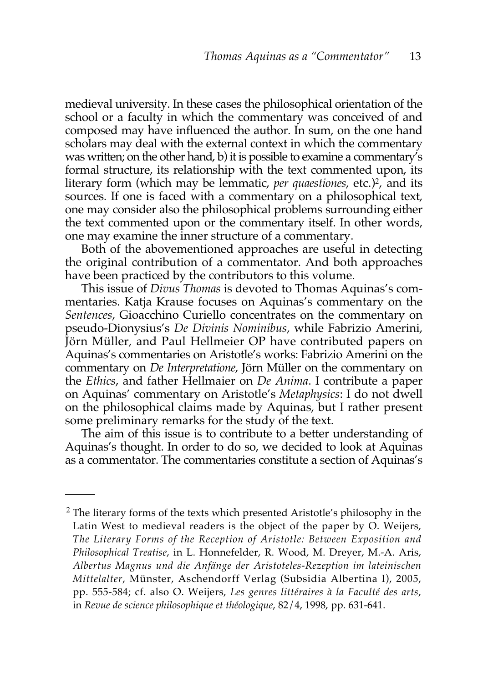medieval university. In these cases the philosophical orientation of the school or a faculty in which the commentary was conceived of and composed may have influenced the author. In sum, on the one hand scholars may deal with the external context in which the commentary was written; on the other hand, b) it is possible to examine a commentary's formal structure, its relationship with the text commented upon, its literary form (which may be lemmatic, *per quaestiones*, etc.)<sup>2</sup>, and its sources. If one is faced with a commentary on a philosophical text, one may consider also the philosophical problems surrounding either the text commented upon or the commentary itself. In other words, one may examine the inner structure of a commentary.

Both of the abovementioned approaches are useful in detecting the original contribution of a commentator. And both approaches have been practiced by the contributors to this volume.

This issue of *Divus Thomas* is devoted to Thomas Aquinas's commentaries. Katja Krause focuses on Aquinas's commentary on the *Sentences*, Gioacchino Curiello concentrates on the commentary on pseudo-Dionysius's *De Divinis Nominibus*, while Fabrizio Amerini, Jörn Müller, and Paul Hellmeier OP have contributed papers on Aquinas's commentaries on Aristotle's works: Fabrizio Amerini on the commentary on *De Interpretatione*, Jörn Müller on the commentary on the *Ethics*, and father Hellmaier on *De Anima*. I contribute a paper on Aquinas' commentary on Aristotle's *Metaphysics*: I do not dwell on the philosophical claims made by Aquinas, but I rather present some preliminary remarks for the study of the text.

The aim of this issue is to contribute to a better understanding of Aquinas's thought. In order to do so, we decided to look at Aquinas as a commentator. The commentaries constitute a section of Aquinas's

<sup>&</sup>lt;sup>2</sup> The literary forms of the texts which presented Aristotle's philosophy in the Latin West to medieval readers is the object of the paper by O. Weijers, *The Literary Forms of the Reception of Aristotle: Between Exposition and Philosophical Treatise*, in L. Honnefelder, R. Wood, M. Dreyer, M.-A. Aris, *Albertus Magnus und die Anfänge der Aristoteles-Rezeption im lateinischen Mittelalter*, Münster, Aschendorff Verlag (Subsidia Albertina I), 2005, pp. 555-584; cf. also O. Weijers, *Les genres littéraires à la Faculté des arts*, in *Revue de science philosophique et théologique*, 82/4, 1998, pp. 631-641.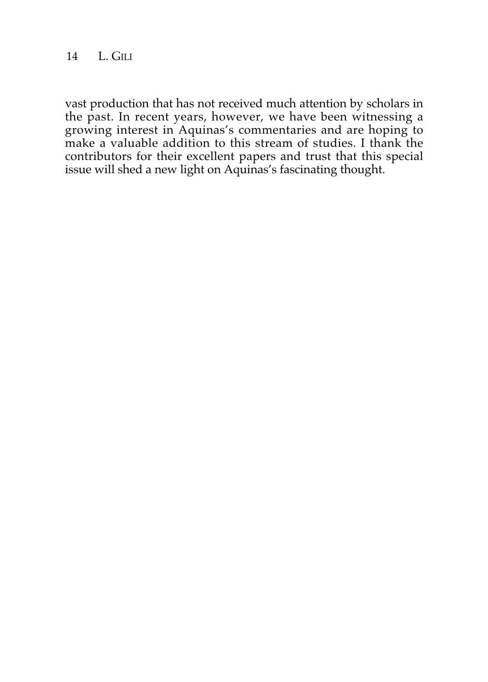14 L. GILI

vast production that has not received much attention by scholars in the past. In recent years, however, we have been witnessing a growing interest in Aquinas's commentaries and are hoping to make a valuable addition to this stream of studies. I thank the contributors for their excellent papers and trust that this special issue will shed a new light on Aquinas's fascinating thought.